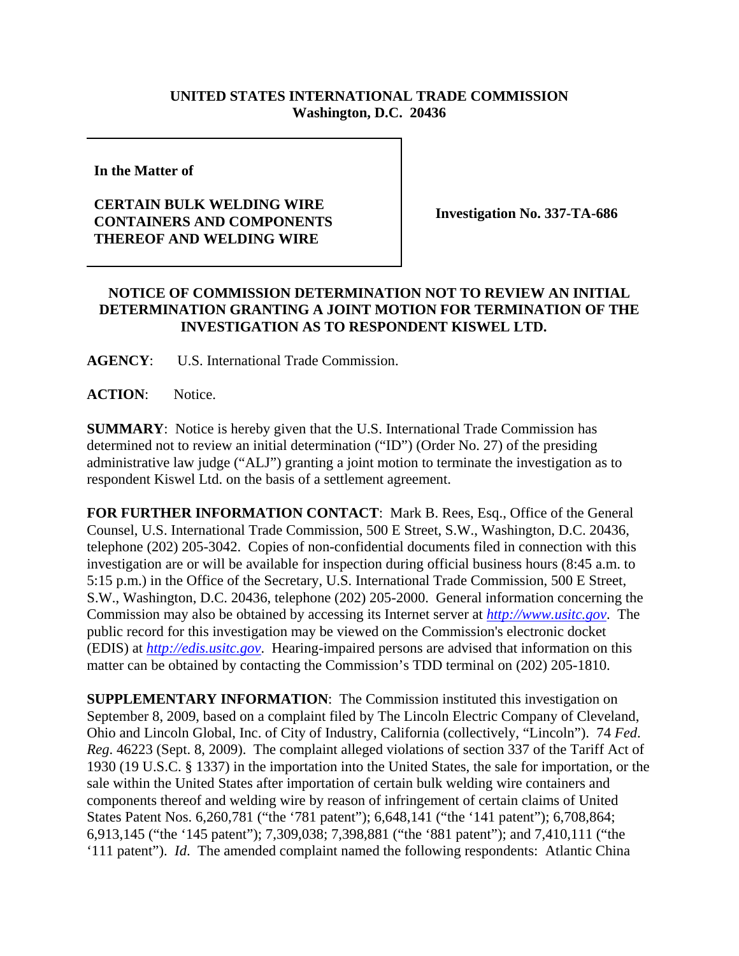## **UNITED STATES INTERNATIONAL TRADE COMMISSION Washington, D.C. 20436**

**In the Matter of** 

## **CERTAIN BULK WELDING WIRE CONTAINERS AND COMPONENTS THEREOF AND WELDING WIRE**

**Investigation No. 337-TA-686**

## **NOTICE OF COMMISSION DETERMINATION NOT TO REVIEW AN INITIAL DETERMINATION GRANTING A JOINT MOTION FOR TERMINATION OF THE INVESTIGATION AS TO RESPONDENT KISWEL LTD.**

**AGENCY**: U.S. International Trade Commission.

**ACTION**: Notice.

**SUMMARY**: Notice is hereby given that the U.S. International Trade Commission has determined not to review an initial determination ("ID") (Order No. 27) of the presiding administrative law judge ("ALJ") granting a joint motion to terminate the investigation as to respondent Kiswel Ltd. on the basis of a settlement agreement.

**FOR FURTHER INFORMATION CONTACT**: Mark B. Rees, Esq., Office of the General Counsel, U.S. International Trade Commission, 500 E Street, S.W., Washington, D.C. 20436, telephone (202) 205-3042. Copies of non-confidential documents filed in connection with this investigation are or will be available for inspection during official business hours (8:45 a.m. to 5:15 p.m.) in the Office of the Secretary, U.S. International Trade Commission, 500 E Street, S.W., Washington, D.C. 20436, telephone (202) 205-2000. General information concerning the Commission may also be obtained by accessing its Internet server at *http://www.usitc.gov*. The public record for this investigation may be viewed on the Commission's electronic docket (EDIS) at *http://edis.usitc.gov*. Hearing-impaired persons are advised that information on this matter can be obtained by contacting the Commission's TDD terminal on (202) 205-1810.

**SUPPLEMENTARY INFORMATION**: The Commission instituted this investigation on September 8, 2009, based on a complaint filed by The Lincoln Electric Company of Cleveland, Ohio and Lincoln Global, Inc. of City of Industry, California (collectively, "Lincoln"). 74 *Fed*. *Reg*. 46223 (Sept. 8, 2009). The complaint alleged violations of section 337 of the Tariff Act of 1930 (19 U.S.C. § 1337) in the importation into the United States, the sale for importation, or the sale within the United States after importation of certain bulk welding wire containers and components thereof and welding wire by reason of infringement of certain claims of United States Patent Nos. 6,260,781 ("the '781 patent"); 6,648,141 ("the '141 patent"); 6,708,864; 6,913,145 ("the '145 patent"); 7,309,038; 7,398,881 ("the '881 patent"); and 7,410,111 ("the '111 patent"). *Id*. The amended complaint named the following respondents: Atlantic China